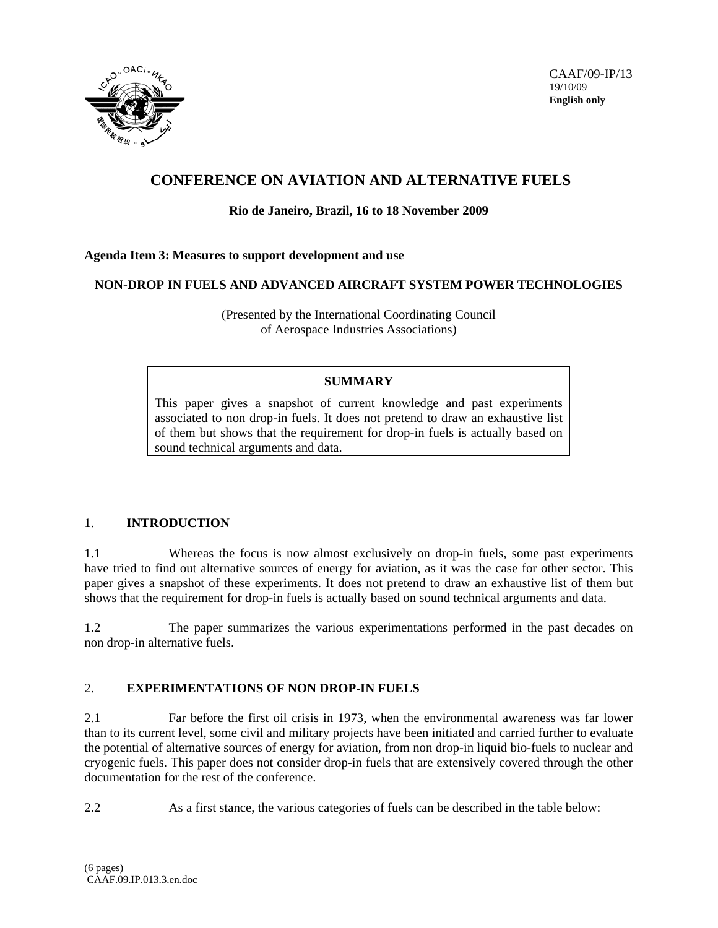

# **CONFERENCE ON AVIATION AND ALTERNATIVE FUELS**

## **Rio de Janeiro, Brazil, 16 to 18 November 2009**

### **Agenda Item 3: Measures to support development and use**

### **NON-DROP IN FUELS AND ADVANCED AIRCRAFT SYSTEM POWER TECHNOLOGIES**

(Presented by the International Coordinating Council of Aerospace Industries Associations)

#### **SUMMARY**

This paper gives a snapshot of current knowledge and past experiments associated to non drop-in fuels. It does not pretend to draw an exhaustive list of them but shows that the requirement for drop-in fuels is actually based on sound technical arguments and data.

### 1. **INTRODUCTION**

1.1 Whereas the focus is now almost exclusively on drop-in fuels, some past experiments have tried to find out alternative sources of energy for aviation, as it was the case for other sector. This paper gives a snapshot of these experiments. It does not pretend to draw an exhaustive list of them but shows that the requirement for drop-in fuels is actually based on sound technical arguments and data.

1.2 The paper summarizes the various experimentations performed in the past decades on non drop-in alternative fuels.

### 2. **EXPERIMENTATIONS OF NON DROP-IN FUELS**

2.1 Far before the first oil crisis in 1973, when the environmental awareness was far lower than to its current level, some civil and military projects have been initiated and carried further to evaluate the potential of alternative sources of energy for aviation, from non drop-in liquid bio-fuels to nuclear and cryogenic fuels. This paper does not consider drop-in fuels that are extensively covered through the other documentation for the rest of the conference.

2.2 As a first stance, the various categories of fuels can be described in the table below: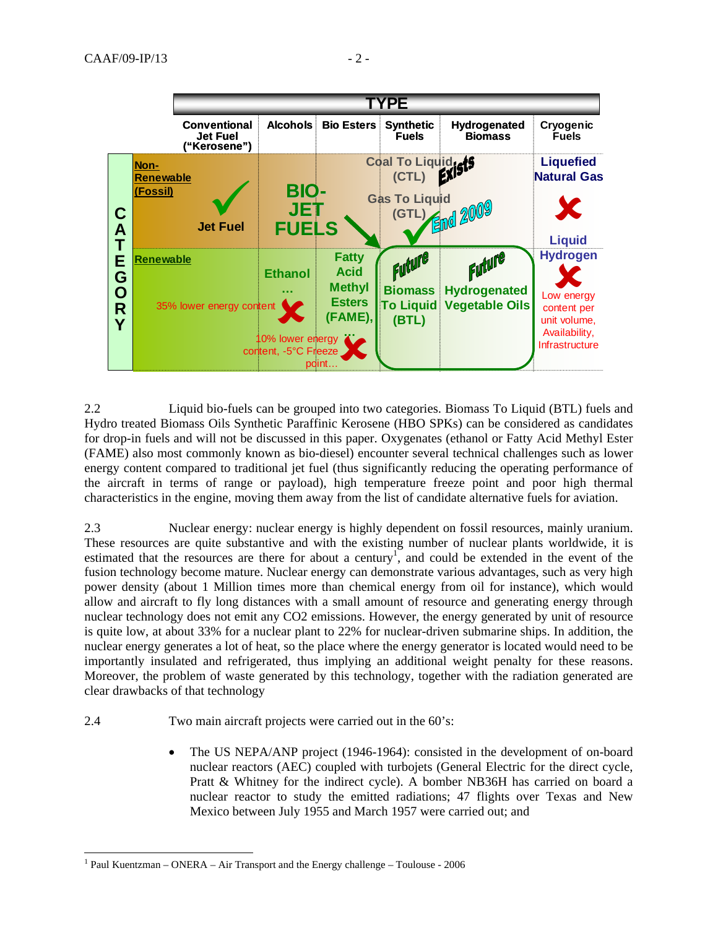

2.2 Liquid bio-fuels can be grouped into two categories. Biomass To Liquid (BTL) fuels and Hydro treated Biomass Oils Synthetic Paraffinic Kerosene (HBO SPKs) can be considered as candidates for drop-in fuels and will not be discussed in this paper. Oxygenates (ethanol or Fatty Acid Methyl Ester (FAME) also most commonly known as bio-diesel) encounter several technical challenges such as lower energy content compared to traditional jet fuel (thus significantly reducing the operating performance of the aircraft in terms of range or payload), high temperature freeze point and poor high thermal characteristics in the engine, moving them away from the list of candidate alternative fuels for aviation.

2.3 Nuclear energy: nuclear energy is highly dependent on fossil resources, mainly uranium. These resources are quite substantive and with the existing number of nuclear plants worldwide, it is estimated that the resources are there for about a century<sup>1</sup>, and could be extended in the event of the fusion technology become mature. Nuclear energy can demonstrate various advantages, such as very high power density (about 1 Million times more than chemical energy from oil for instance), which would allow and aircraft to fly long distances with a small amount of resource and generating energy through nuclear technology does not emit any CO2 emissions. However, the energy generated by unit of resource is quite low, at about 33% for a nuclear plant to 22% for nuclear-driven submarine ships. In addition, the nuclear energy generates a lot of heat, so the place where the energy generator is located would need to be importantly insulated and refrigerated, thus implying an additional weight penalty for these reasons. Moreover, the problem of waste generated by this technology, together with the radiation generated are clear drawbacks of that technology

- 2.4 Two main aircraft projects were carried out in the 60's:
	- The US NEPA/ANP project (1946-1964): consisted in the development of on-board nuclear reactors (AEC) coupled with turbojets (General Electric for the direct cycle, Pratt & Whitney for the indirect cycle). A bomber NB36H has carried on board a nuclear reactor to study the emitted radiations; 47 flights over Texas and New Mexico between July 1955 and March 1957 were carried out; and

l

<sup>&</sup>lt;sup>1</sup> Paul Kuentzman – ONERA – Air Transport and the Energy challenge – Toulouse - 2006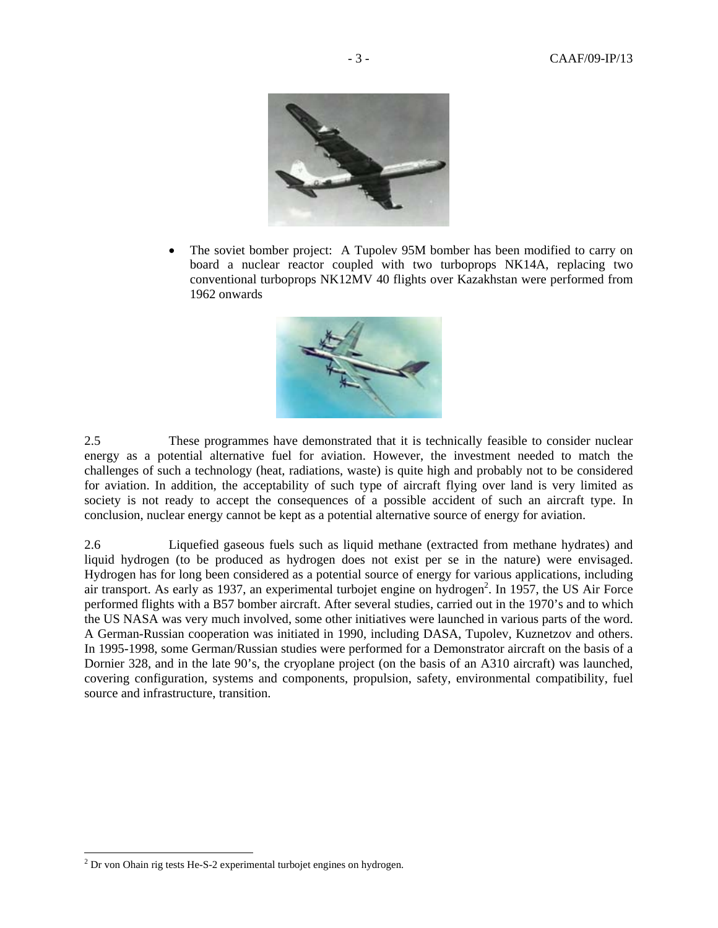

• The soviet bomber project: A Tupolev 95M bomber has been modified to carry on board a nuclear reactor coupled with two turboprops NK14A, replacing two conventional turboprops NK12MV 40 flights over Kazakhstan were performed from 1962 onwards



2.5 These programmes have demonstrated that it is technically feasible to consider nuclear energy as a potential alternative fuel for aviation. However, the investment needed to match the challenges of such a technology (heat, radiations, waste) is quite high and probably not to be considered for aviation. In addition, the acceptability of such type of aircraft flying over land is very limited as society is not ready to accept the consequences of a possible accident of such an aircraft type. In conclusion, nuclear energy cannot be kept as a potential alternative source of energy for aviation.

2.6 Liquefied gaseous fuels such as liquid methane (extracted from methane hydrates) and liquid hydrogen (to be produced as hydrogen does not exist per se in the nature) were envisaged. Hydrogen has for long been considered as a potential source of energy for various applications, including air transport. As early as 1937, an experimental turbojet engine on hydrogen<sup>2</sup>. In 1957, the US Air Force performed flights with a B57 bomber aircraft. After several studies, carried out in the 1970's and to which the US NASA was very much involved, some other initiatives were launched in various parts of the word. A German-Russian cooperation was initiated in 1990, including DASA, Tupolev, Kuznetzov and others. In 1995-1998, some German/Russian studies were performed for a Demonstrator aircraft on the basis of a Dornier 328, and in the late 90's, the cryoplane project (on the basis of an A310 aircraft) was launched, covering configuration, systems and components, propulsion, safety, environmental compatibility, fuel source and infrastructure, transition.

 2 Dr von Ohain rig tests He-S-2 experimental turbojet engines on hydrogen.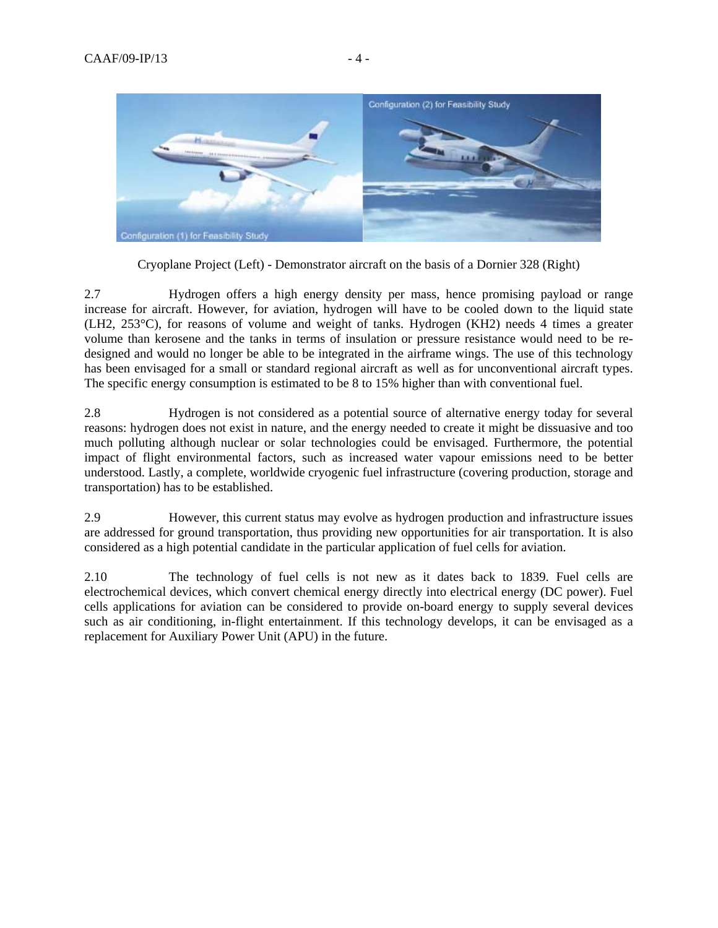

Cryoplane Project (Left) - Demonstrator aircraft on the basis of a Dornier 328 (Right)

2.7 Hydrogen offers a high energy density per mass, hence promising payload or range increase for aircraft. However, for aviation, hydrogen will have to be cooled down to the liquid state (LH2, 253°C), for reasons of volume and weight of tanks. Hydrogen (KH2) needs 4 times a greater volume than kerosene and the tanks in terms of insulation or pressure resistance would need to be redesigned and would no longer be able to be integrated in the airframe wings. The use of this technology has been envisaged for a small or standard regional aircraft as well as for unconventional aircraft types. The specific energy consumption is estimated to be 8 to 15% higher than with conventional fuel.

2.8 Hydrogen is not considered as a potential source of alternative energy today for several reasons: hydrogen does not exist in nature, and the energy needed to create it might be dissuasive and too much polluting although nuclear or solar technologies could be envisaged. Furthermore, the potential impact of flight environmental factors, such as increased water vapour emissions need to be better understood. Lastly, a complete, worldwide cryogenic fuel infrastructure (covering production, storage and transportation) has to be established.

2.9 However, this current status may evolve as hydrogen production and infrastructure issues are addressed for ground transportation, thus providing new opportunities for air transportation. It is also considered as a high potential candidate in the particular application of fuel cells for aviation.

2.10 The technology of fuel cells is not new as it dates back to 1839. Fuel cells are electrochemical devices, which convert chemical energy directly into electrical energy (DC power). Fuel cells applications for aviation can be considered to provide on-board energy to supply several devices such as air conditioning, in-flight entertainment. If this technology develops, it can be envisaged as a replacement for Auxiliary Power Unit (APU) in the future.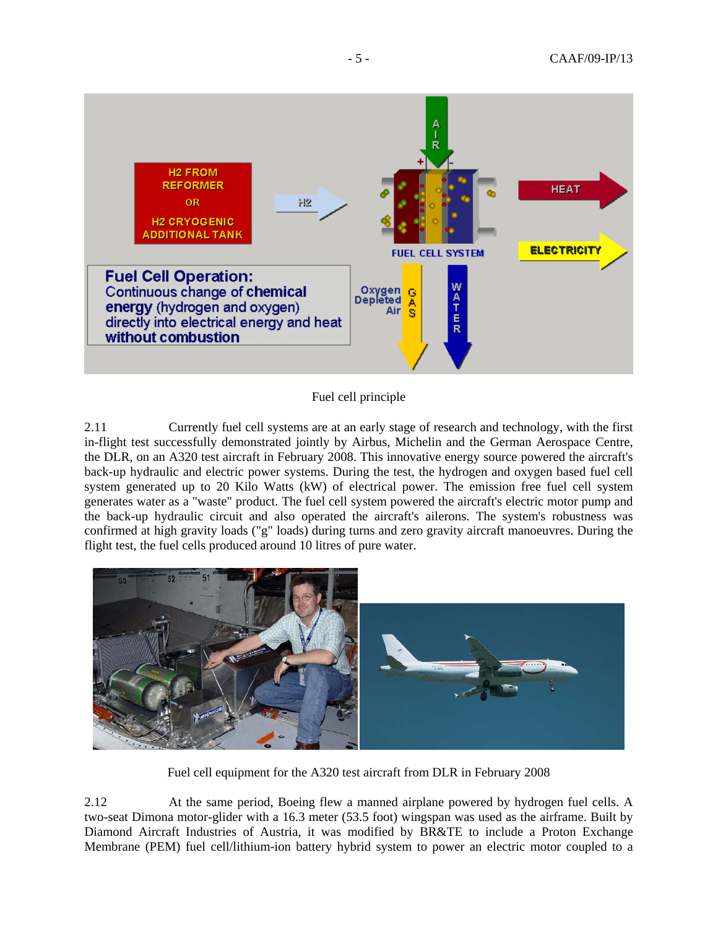

Fuel cell principle

2.11 Currently fuel cell systems are at an early stage of research and technology, with the first in-flight test successfully demonstrated jointly by Airbus, Michelin and the German Aerospace Centre, the DLR, on an A320 test aircraft in February 2008. This innovative energy source powered the aircraft's back-up hydraulic and electric power systems. During the test, the hydrogen and oxygen based fuel cell system generated up to 20 Kilo Watts (kW) of electrical power. The emission free fuel cell system generates water as a "waste" product. The fuel cell system powered the aircraft's electric motor pump and the back-up hydraulic circuit and also operated the aircraft's ailerons. The system's robustness was confirmed at high gravity loads ("g" loads) during turns and zero gravity aircraft manoeuvres. During the flight test, the fuel cells produced around 10 litres of pure water.



Fuel cell equipment for the A320 test aircraft from DLR in February 2008

2.12 At the same period, Boeing flew a manned airplane powered by hydrogen fuel cells. A two-seat Dimona motor-glider with a 16.3 meter (53.5 foot) wingspan was used as the airframe. Built by Diamond Aircraft Industries of Austria, it was modified by BR&TE to include a Proton Exchange Membrane (PEM) fuel cell/lithium-ion battery hybrid system to power an electric motor coupled to a